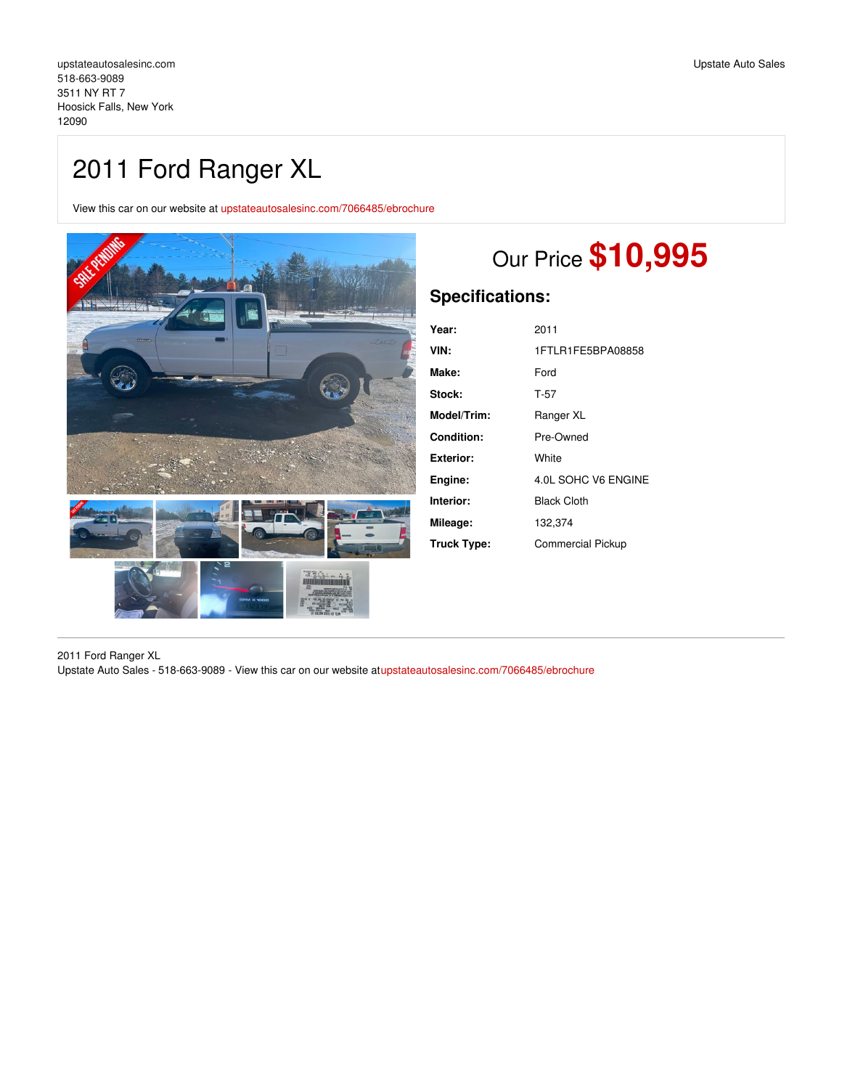## 2011 Ford Ranger XL

View this car on our website at [upstateautosalesinc.com/7066485/ebrochure](https://upstateautosalesinc.com/vehicle/7066485/2011-ford-ranger-xl-hoosick-falls-new-york-12090/7066485/ebrochure)



# Our Price **\$10,995**

## **Specifications:**

| Year:              | 2011                     |
|--------------------|--------------------------|
| VIN:               | 1FTLR1FE5BPA08858        |
| Make:              | Ford                     |
| Stock:             | T-57                     |
| <b>Model/Trim:</b> | Ranger XL                |
| Condition:         | Pre-Owned                |
| Exterior:          | White                    |
| Engine:            | 4.0L SOHC V6 ENGINE      |
| Interior:          | <b>Black Cloth</b>       |
| Mileage:           | 132,374                  |
| Truck Type:        | <b>Commercial Pickup</b> |

2011 Ford Ranger XL Upstate Auto Sales - 518-663-9089 - View this car on our website a[tupstateautosalesinc.com/7066485/ebrochure](https://upstateautosalesinc.com/vehicle/7066485/2011-ford-ranger-xl-hoosick-falls-new-york-12090/7066485/ebrochure)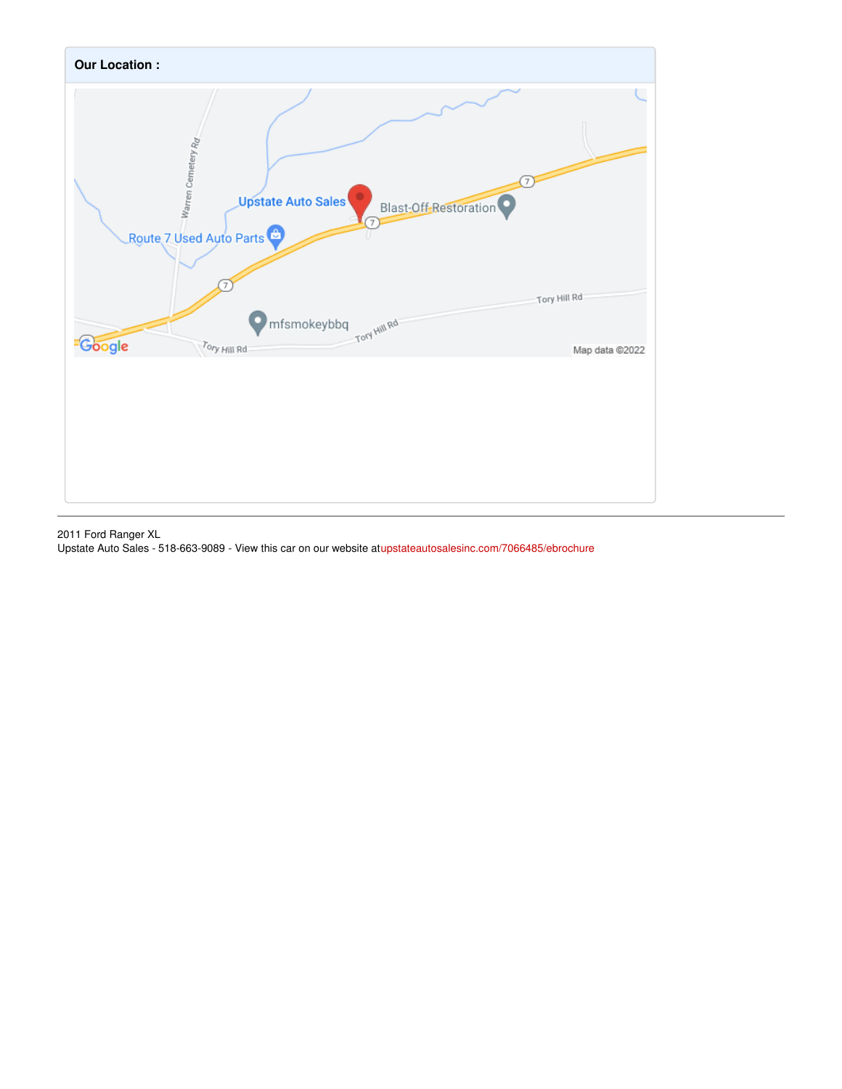

2011 Ford Ranger XL

Upstate Auto Sales - 518-663-9089 - View this car on our website a[tupstateautosalesinc.com/7066485/ebrochure](https://upstateautosalesinc.com/vehicle/7066485/2011-ford-ranger-xl-hoosick-falls-new-york-12090/7066485/ebrochure)